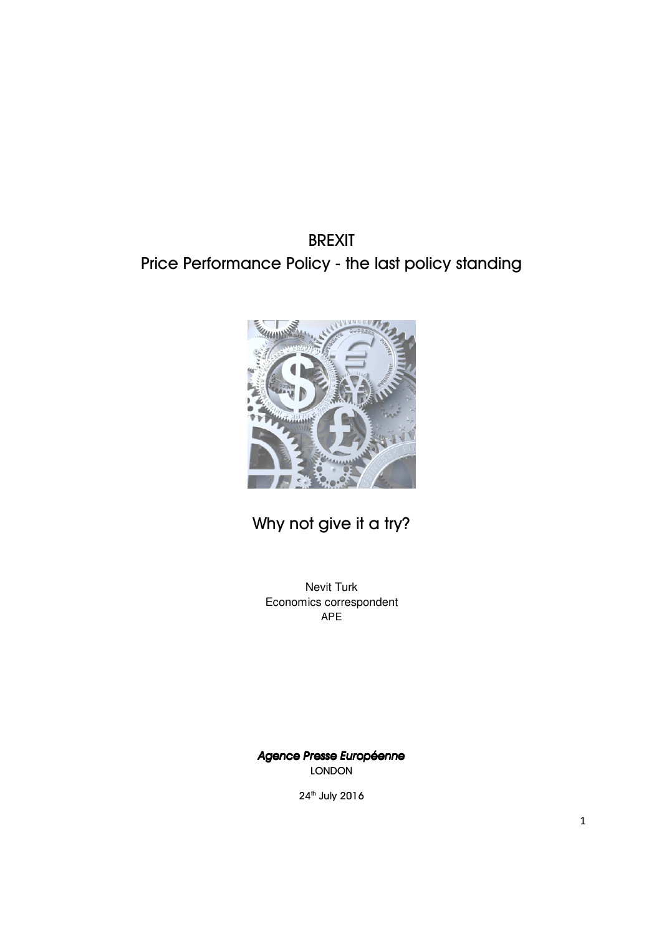# BREXIT Price Performance Policy - the last policy standing



# Why not give it a try?

Nevit Turk Economics correspondent APE

*Agence Presse Europ Presse Europgence Presse Européenne*  LONDON

24<sup>th</sup> July 2016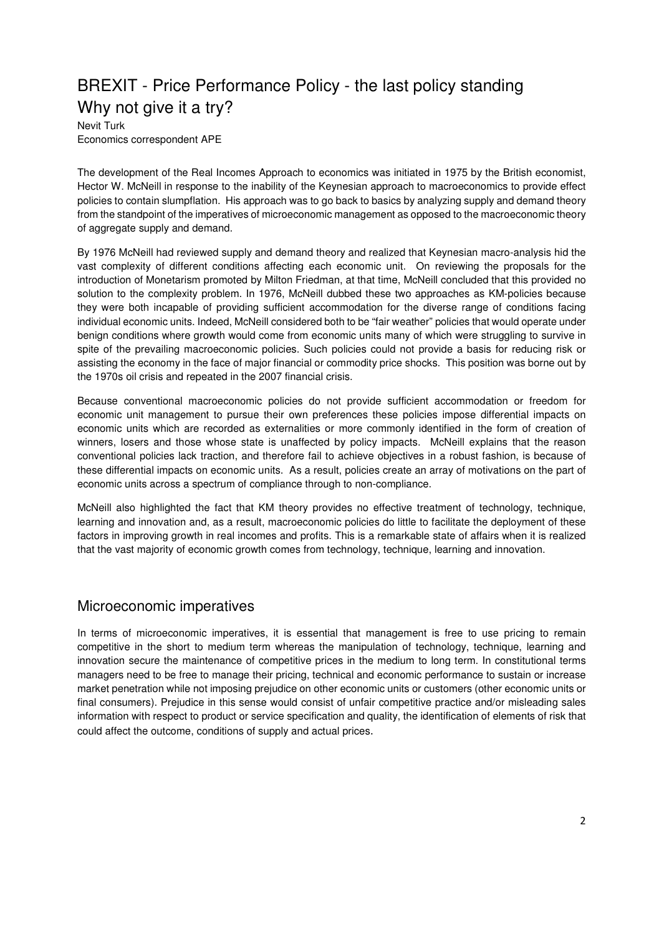# BREXIT - Price Performance Policy - the last policy standing Why not give it a try?

Nevit Turk Economics correspondent APE

The development of the Real Incomes Approach to economics was initiated in 1975 by the British economist, Hector W. McNeill in response to the inability of the Keynesian approach to macroeconomics to provide effect policies to contain slumpflation. His approach was to go back to basics by analyzing supply and demand theory from the standpoint of the imperatives of microeconomic management as opposed to the macroeconomic theory of aggregate supply and demand.

By 1976 McNeill had reviewed supply and demand theory and realized that Keynesian macro-analysis hid the vast complexity of different conditions affecting each economic unit. On reviewing the proposals for the introduction of Monetarism promoted by Milton Friedman, at that time, McNeill concluded that this provided no solution to the complexity problem. In 1976, McNeill dubbed these two approaches as KM-policies because they were both incapable of providing sufficient accommodation for the diverse range of conditions facing individual economic units. Indeed, McNeill considered both to be "fair weather" policies that would operate under benign conditions where growth would come from economic units many of which were struggling to survive in spite of the prevailing macroeconomic policies. Such policies could not provide a basis for reducing risk or assisting the economy in the face of major financial or commodity price shocks. This position was borne out by the 1970s oil crisis and repeated in the 2007 financial crisis.

Because conventional macroeconomic policies do not provide sufficient accommodation or freedom for economic unit management to pursue their own preferences these policies impose differential impacts on economic units which are recorded as externalities or more commonly identified in the form of creation of winners, losers and those whose state is unaffected by policy impacts. McNeill explains that the reason conventional policies lack traction, and therefore fail to achieve objectives in a robust fashion, is because of these differential impacts on economic units. As a result, policies create an array of motivations on the part of economic units across a spectrum of compliance through to non-compliance.

McNeill also highlighted the fact that KM theory provides no effective treatment of technology, technique, learning and innovation and, as a result, macroeconomic policies do little to facilitate the deployment of these factors in improving growth in real incomes and profits. This is a remarkable state of affairs when it is realized that the vast majority of economic growth comes from technology, technique, learning and innovation.

#### Microeconomic imperatives

In terms of microeconomic imperatives, it is essential that management is free to use pricing to remain competitive in the short to medium term whereas the manipulation of technology, technique, learning and innovation secure the maintenance of competitive prices in the medium to long term. In constitutional terms managers need to be free to manage their pricing, technical and economic performance to sustain or increase market penetration while not imposing prejudice on other economic units or customers (other economic units or final consumers). Prejudice in this sense would consist of unfair competitive practice and/or misleading sales information with respect to product or service specification and quality, the identification of elements of risk that could affect the outcome, conditions of supply and actual prices.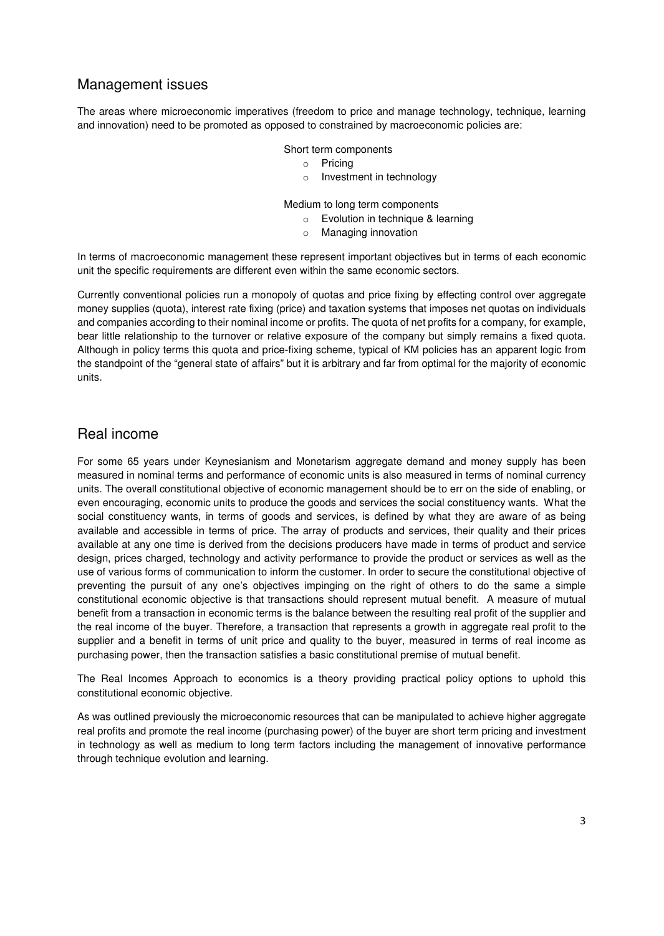#### Management issues

The areas where microeconomic imperatives (freedom to price and manage technology, technique, learning and innovation) need to be promoted as opposed to constrained by macroeconomic policies are:

#### Short term components

- o Pricing
- o Investment in technology

Medium to long term components

- $\circ$  Evolution in technique & learning
- o Managing innovation

In terms of macroeconomic management these represent important objectives but in terms of each economic unit the specific requirements are different even within the same economic sectors.

Currently conventional policies run a monopoly of quotas and price fixing by effecting control over aggregate money supplies (quota), interest rate fixing (price) and taxation systems that imposes net quotas on individuals and companies according to their nominal income or profits. The quota of net profits for a company, for example, bear little relationship to the turnover or relative exposure of the company but simply remains a fixed quota. Although in policy terms this quota and price-fixing scheme, typical of KM policies has an apparent logic from the standpoint of the "general state of affairs" but it is arbitrary and far from optimal for the majority of economic units.

#### Real income

For some 65 years under Keynesianism and Monetarism aggregate demand and money supply has been measured in nominal terms and performance of economic units is also measured in terms of nominal currency units. The overall constitutional objective of economic management should be to err on the side of enabling, or even encouraging, economic units to produce the goods and services the social constituency wants. What the social constituency wants, in terms of goods and services, is defined by what they are aware of as being available and accessible in terms of price. The array of products and services, their quality and their prices available at any one time is derived from the decisions producers have made in terms of product and service design, prices charged, technology and activity performance to provide the product or services as well as the use of various forms of communication to inform the customer. In order to secure the constitutional objective of preventing the pursuit of any one's objectives impinging on the right of others to do the same a simple constitutional economic objective is that transactions should represent mutual benefit. A measure of mutual benefit from a transaction in economic terms is the balance between the resulting real profit of the supplier and the real income of the buyer. Therefore, a transaction that represents a growth in aggregate real profit to the supplier and a benefit in terms of unit price and quality to the buyer, measured in terms of real income as purchasing power, then the transaction satisfies a basic constitutional premise of mutual benefit.

The Real Incomes Approach to economics is a theory providing practical policy options to uphold this constitutional economic objective.

As was outlined previously the microeconomic resources that can be manipulated to achieve higher aggregate real profits and promote the real income (purchasing power) of the buyer are short term pricing and investment in technology as well as medium to long term factors including the management of innovative performance through technique evolution and learning.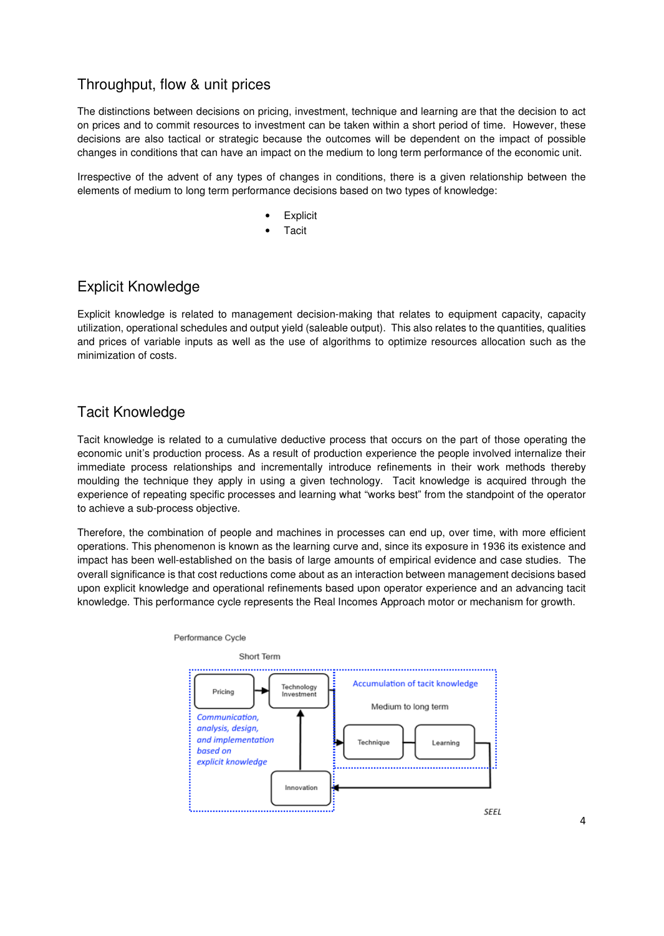# Throughput, flow & unit prices

The distinctions between decisions on pricing, investment, technique and learning are that the decision to act on prices and to commit resources to investment can be taken within a short period of time. However, these decisions are also tactical or strategic because the outcomes will be dependent on the impact of possible changes in conditions that can have an impact on the medium to long term performance of the economic unit.

Irrespective of the advent of any types of changes in conditions, there is a given relationship between the elements of medium to long term performance decisions based on two types of knowledge:

- **Explicit**
- **Tacit**

### Explicit Knowledge

Explicit knowledge is related to management decision-making that relates to equipment capacity, capacity utilization, operational schedules and output yield (saleable output). This also relates to the quantities, qualities and prices of variable inputs as well as the use of algorithms to optimize resources allocation such as the minimization of costs.

# Tacit Knowledge

Tacit knowledge is related to a cumulative deductive process that occurs on the part of those operating the economic unit's production process. As a result of production experience the people involved internalize their immediate process relationships and incrementally introduce refinements in their work methods thereby moulding the technique they apply in using a given technology. Tacit knowledge is acquired through the experience of repeating specific processes and learning what "works best" from the standpoint of the operator to achieve a sub-process objective.

Therefore, the combination of people and machines in processes can end up, over time, with more efficient operations. This phenomenon is known as the learning curve and, since its exposure in 1936 its existence and impact has been well-established on the basis of large amounts of empirical evidence and case studies. The overall significance is that cost reductions come about as an interaction between management decisions based upon explicit knowledge and operational refinements based upon operator experience and an advancing tacit knowledge. This performance cycle represents the Real Incomes Approach motor or mechanism for growth.

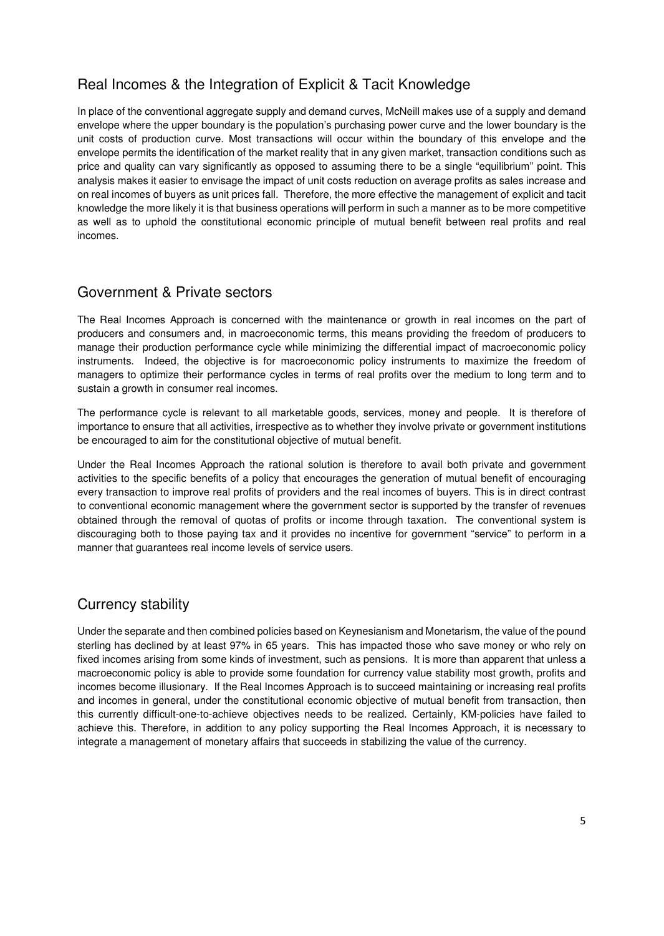# Real Incomes & the Integration of Explicit & Tacit Knowledge

In place of the conventional aggregate supply and demand curves, McNeill makes use of a supply and demand envelope where the upper boundary is the population's purchasing power curve and the lower boundary is the unit costs of production curve. Most transactions will occur within the boundary of this envelope and the envelope permits the identification of the market reality that in any given market, transaction conditions such as price and quality can vary significantly as opposed to assuming there to be a single "equilibrium" point. This analysis makes it easier to envisage the impact of unit costs reduction on average profits as sales increase and on real incomes of buyers as unit prices fall. Therefore, the more effective the management of explicit and tacit knowledge the more likely it is that business operations will perform in such a manner as to be more competitive as well as to uphold the constitutional economic principle of mutual benefit between real profits and real incomes.

### Government & Private sectors

The Real Incomes Approach is concerned with the maintenance or growth in real incomes on the part of producers and consumers and, in macroeconomic terms, this means providing the freedom of producers to manage their production performance cycle while minimizing the differential impact of macroeconomic policy instruments. Indeed, the objective is for macroeconomic policy instruments to maximize the freedom of managers to optimize their performance cycles in terms of real profits over the medium to long term and to sustain a growth in consumer real incomes.

The performance cycle is relevant to all marketable goods, services, money and people. It is therefore of importance to ensure that all activities, irrespective as to whether they involve private or government institutions be encouraged to aim for the constitutional objective of mutual benefit.

Under the Real Incomes Approach the rational solution is therefore to avail both private and government activities to the specific benefits of a policy that encourages the generation of mutual benefit of encouraging every transaction to improve real profits of providers and the real incomes of buyers. This is in direct contrast to conventional economic management where the government sector is supported by the transfer of revenues obtained through the removal of quotas of profits or income through taxation. The conventional system is discouraging both to those paying tax and it provides no incentive for government "service" to perform in a manner that guarantees real income levels of service users.

# Currency stability

Under the separate and then combined policies based on Keynesianism and Monetarism, the value of the pound sterling has declined by at least 97% in 65 years. This has impacted those who save money or who rely on fixed incomes arising from some kinds of investment, such as pensions. It is more than apparent that unless a macroeconomic policy is able to provide some foundation for currency value stability most growth, profits and incomes become illusionary. If the Real Incomes Approach is to succeed maintaining or increasing real profits and incomes in general, under the constitutional economic objective of mutual benefit from transaction, then this currently difficult-one-to-achieve objectives needs to be realized. Certainly, KM-policies have failed to achieve this. Therefore, in addition to any policy supporting the Real Incomes Approach, it is necessary to integrate a management of monetary affairs that succeeds in stabilizing the value of the currency.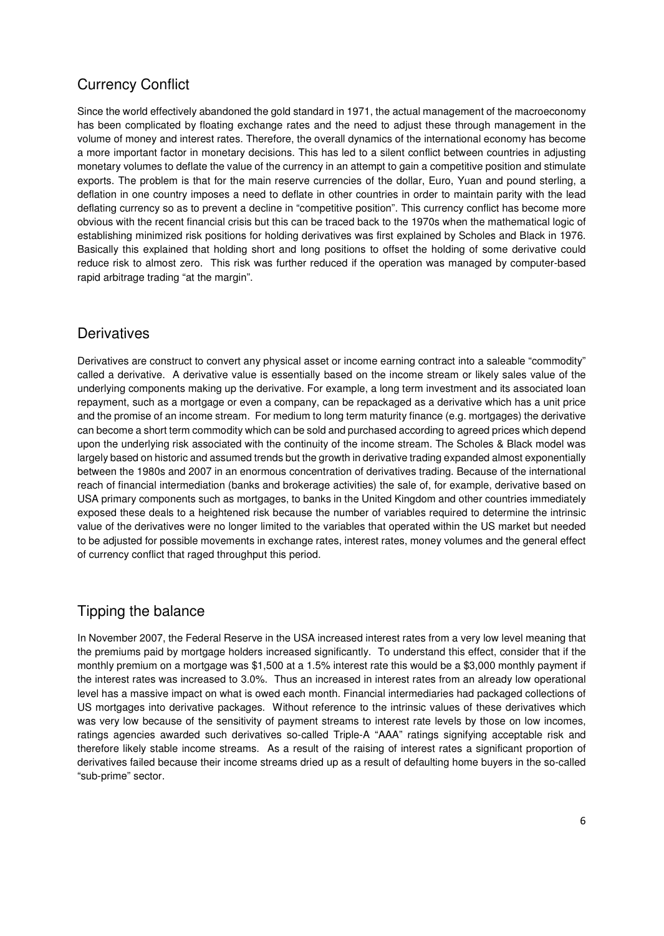# Currency Conflict

Since the world effectively abandoned the gold standard in 1971, the actual management of the macroeconomy has been complicated by floating exchange rates and the need to adjust these through management in the volume of money and interest rates. Therefore, the overall dynamics of the international economy has become a more important factor in monetary decisions. This has led to a silent conflict between countries in adjusting monetary volumes to deflate the value of the currency in an attempt to gain a competitive position and stimulate exports. The problem is that for the main reserve currencies of the dollar, Euro, Yuan and pound sterling, a deflation in one country imposes a need to deflate in other countries in order to maintain parity with the lead deflating currency so as to prevent a decline in "competitive position". This currency conflict has become more obvious with the recent financial crisis but this can be traced back to the 1970s when the mathematical logic of establishing minimized risk positions for holding derivatives was first explained by Scholes and Black in 1976. Basically this explained that holding short and long positions to offset the holding of some derivative could reduce risk to almost zero. This risk was further reduced if the operation was managed by computer-based rapid arbitrage trading "at the margin".

### **Derivatives**

Derivatives are construct to convert any physical asset or income earning contract into a saleable "commodity" called a derivative. A derivative value is essentially based on the income stream or likely sales value of the underlying components making up the derivative. For example, a long term investment and its associated loan repayment, such as a mortgage or even a company, can be repackaged as a derivative which has a unit price and the promise of an income stream. For medium to long term maturity finance (e.g. mortgages) the derivative can become a short term commodity which can be sold and purchased according to agreed prices which depend upon the underlying risk associated with the continuity of the income stream. The Scholes & Black model was largely based on historic and assumed trends but the growth in derivative trading expanded almost exponentially between the 1980s and 2007 in an enormous concentration of derivatives trading. Because of the international reach of financial intermediation (banks and brokerage activities) the sale of, for example, derivative based on USA primary components such as mortgages, to banks in the United Kingdom and other countries immediately exposed these deals to a heightened risk because the number of variables required to determine the intrinsic value of the derivatives were no longer limited to the variables that operated within the US market but needed to be adjusted for possible movements in exchange rates, interest rates, money volumes and the general effect of currency conflict that raged throughput this period.

#### Tipping the balance

In November 2007, the Federal Reserve in the USA increased interest rates from a very low level meaning that the premiums paid by mortgage holders increased significantly. To understand this effect, consider that if the monthly premium on a mortgage was \$1,500 at a 1.5% interest rate this would be a \$3,000 monthly payment if the interest rates was increased to 3.0%. Thus an increased in interest rates from an already low operational level has a massive impact on what is owed each month. Financial intermediaries had packaged collections of US mortgages into derivative packages. Without reference to the intrinsic values of these derivatives which was very low because of the sensitivity of payment streams to interest rate levels by those on low incomes, ratings agencies awarded such derivatives so-called Triple-A "AAA" ratings signifying acceptable risk and therefore likely stable income streams. As a result of the raising of interest rates a significant proportion of derivatives failed because their income streams dried up as a result of defaulting home buyers in the so-called "sub-prime" sector.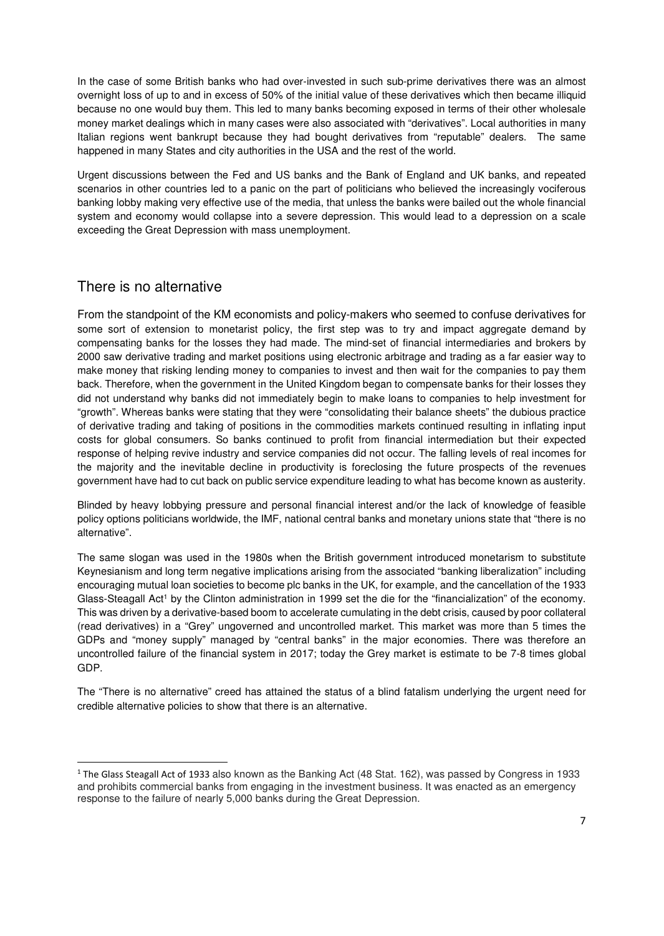In the case of some British banks who had over-invested in such sub-prime derivatives there was an almost overnight loss of up to and in excess of 50% of the initial value of these derivatives which then became illiquid because no one would buy them. This led to many banks becoming exposed in terms of their other wholesale money market dealings which in many cases were also associated with "derivatives". Local authorities in many Italian regions went bankrupt because they had bought derivatives from "reputable" dealers. The same happened in many States and city authorities in the USA and the rest of the world.

Urgent discussions between the Fed and US banks and the Bank of England and UK banks, and repeated scenarios in other countries led to a panic on the part of politicians who believed the increasingly vociferous banking lobby making very effective use of the media, that unless the banks were bailed out the whole financial system and economy would collapse into a severe depression. This would lead to a depression on a scale exceeding the Great Depression with mass unemployment.

#### There is no alternative

l

From the standpoint of the KM economists and policy-makers who seemed to confuse derivatives for some sort of extension to monetarist policy, the first step was to try and impact aggregate demand by compensating banks for the losses they had made. The mind-set of financial intermediaries and brokers by 2000 saw derivative trading and market positions using electronic arbitrage and trading as a far easier way to make money that risking lending money to companies to invest and then wait for the companies to pay them back. Therefore, when the government in the United Kingdom began to compensate banks for their losses they did not understand why banks did not immediately begin to make loans to companies to help investment for "growth". Whereas banks were stating that they were "consolidating their balance sheets" the dubious practice of derivative trading and taking of positions in the commodities markets continued resulting in inflating input costs for global consumers. So banks continued to profit from financial intermediation but their expected response of helping revive industry and service companies did not occur. The falling levels of real incomes for the majority and the inevitable decline in productivity is foreclosing the future prospects of the revenues government have had to cut back on public service expenditure leading to what has become known as austerity.

Blinded by heavy lobbying pressure and personal financial interest and/or the lack of knowledge of feasible policy options politicians worldwide, the IMF, national central banks and monetary unions state that "there is no alternative".

The same slogan was used in the 1980s when the British government introduced monetarism to substitute Keynesianism and long term negative implications arising from the associated "banking liberalization" including encouraging mutual loan societies to become plc banks in the UK, for example, and the cancellation of the 1933 Glass-Steagall Act<sup>1</sup> by the Clinton administration in 1999 set the die for the "financialization" of the economy. This was driven by a derivative-based boom to accelerate cumulating in the debt crisis, caused by poor collateral (read derivatives) in a "Grey" ungoverned and uncontrolled market. This market was more than 5 times the GDPs and "money supply" managed by "central banks" in the major economies. There was therefore an uncontrolled failure of the financial system in 2017; today the Grey market is estimate to be 7-8 times global GDP.

The "There is no alternative" creed has attained the status of a blind fatalism underlying the urgent need for credible alternative policies to show that there is an alternative.

<sup>&</sup>lt;sup>1</sup> The Glass Steagall Act of 1933 also known as the Banking Act (48 Stat. 162), was passed by Congress in 1933 and prohibits commercial banks from engaging in the investment business. It was enacted as an emergency response to the failure of nearly 5,000 banks during the Great Depression.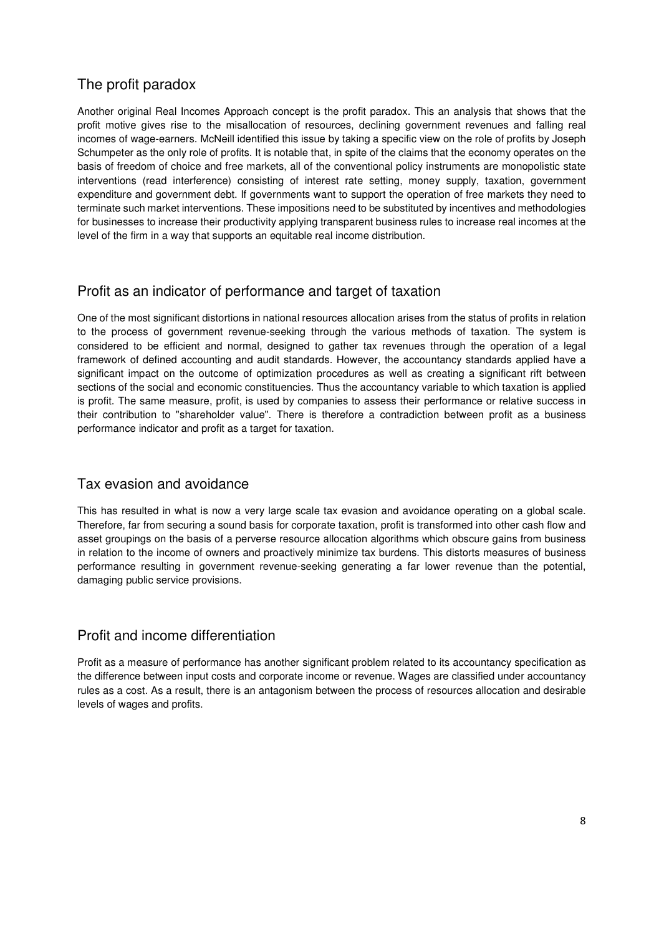# The profit paradox

Another original Real Incomes Approach concept is the profit paradox. This an analysis that shows that the profit motive gives rise to the misallocation of resources, declining government revenues and falling real incomes of wage-earners. McNeill identified this issue by taking a specific view on the role of profits by Joseph Schumpeter as the only role of profits. It is notable that, in spite of the claims that the economy operates on the basis of freedom of choice and free markets, all of the conventional policy instruments are monopolistic state interventions (read interference) consisting of interest rate setting, money supply, taxation, government expenditure and government debt. If governments want to support the operation of free markets they need to terminate such market interventions. These impositions need to be substituted by incentives and methodologies for businesses to increase their productivity applying transparent business rules to increase real incomes at the level of the firm in a way that supports an equitable real income distribution.

#### Profit as an indicator of performance and target of taxation

One of the most significant distortions in national resources allocation arises from the status of profits in relation to the process of government revenue-seeking through the various methods of taxation. The system is considered to be efficient and normal, designed to gather tax revenues through the operation of a legal framework of defined accounting and audit standards. However, the accountancy standards applied have a significant impact on the outcome of optimization procedures as well as creating a significant rift between sections of the social and economic constituencies. Thus the accountancy variable to which taxation is applied is profit. The same measure, profit, is used by companies to assess their performance or relative success in their contribution to "shareholder value". There is therefore a contradiction between profit as a business performance indicator and profit as a target for taxation.

#### Tax evasion and avoidance

This has resulted in what is now a very large scale tax evasion and avoidance operating on a global scale. Therefore, far from securing a sound basis for corporate taxation, profit is transformed into other cash flow and asset groupings on the basis of a perverse resource allocation algorithms which obscure gains from business in relation to the income of owners and proactively minimize tax burdens. This distorts measures of business performance resulting in government revenue-seeking generating a far lower revenue than the potential, damaging public service provisions.

#### Profit and income differentiation

Profit as a measure of performance has another significant problem related to its accountancy specification as the difference between input costs and corporate income or revenue. Wages are classified under accountancy rules as a cost. As a result, there is an antagonism between the process of resources allocation and desirable levels of wages and profits.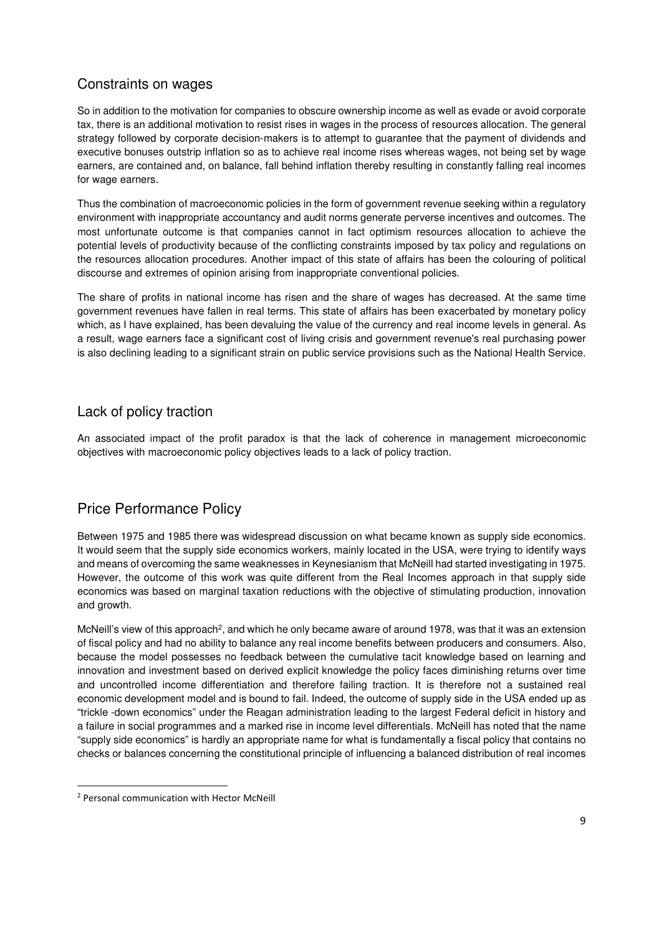#### Constraints on wages

So in addition to the motivation for companies to obscure ownership income as well as evade or avoid corporate tax, there is an additional motivation to resist rises in wages in the process of resources allocation. The general strategy followed by corporate decision-makers is to attempt to guarantee that the payment of dividends and executive bonuses outstrip inflation so as to achieve real income rises whereas wages, not being set by wage earners, are contained and, on balance, fall behind inflation thereby resulting in constantly falling real incomes for wage earners.

Thus the combination of macroeconomic policies in the form of government revenue seeking within a regulatory environment with inappropriate accountancy and audit norms generate perverse incentives and outcomes. The most unfortunate outcome is that companies cannot in fact optimism resources allocation to achieve the potential levels of productivity because of the conflicting constraints imposed by tax policy and regulations on the resources allocation procedures. Another impact of this state of affairs has been the colouring of political discourse and extremes of opinion arising from inappropriate conventional policies.

The share of profits in national income has risen and the share of wages has decreased. At the same time government revenues have fallen in real terms. This state of affairs has been exacerbated by monetary policy which, as I have explained, has been devaluing the value of the currency and real income levels in general. As a result, wage earners face a significant cost of living crisis and government revenue's real purchasing power is also declining leading to a significant strain on public service provisions such as the National Health Service.

#### Lack of policy traction

An associated impact of the profit paradox is that the lack of coherence in management microeconomic objectives with macroeconomic policy objectives leads to a lack of policy traction.

# Price Performance Policy

Between 1975 and 1985 there was widespread discussion on what became known as supply side economics. It would seem that the supply side economics workers, mainly located in the USA, were trying to identify ways and means of overcoming the same weaknesses in Keynesianism that McNeill had started investigating in 1975. However, the outcome of this work was quite different from the Real Incomes approach in that supply side economics was based on marginal taxation reductions with the objective of stimulating production, innovation and growth.

McNeill's view of this approach<sup>2</sup>, and which he only became aware of around 1978, was that it was an extension of fiscal policy and had no ability to balance any real income benefits between producers and consumers. Also, because the model possesses no feedback between the cumulative tacit knowledge based on learning and innovation and investment based on derived explicit knowledge the policy faces diminishing returns over time and uncontrolled income differentiation and therefore failing traction. It is therefore not a sustained real economic development model and is bound to fail. Indeed, the outcome of supply side in the USA ended up as "trickle -down economics" under the Reagan administration leading to the largest Federal deficit in history and a failure in social programmes and a marked rise in income level differentials. McNeill has noted that the name "supply side economics" is hardly an appropriate name for what is fundamentally a fiscal policy that contains no checks or balances concerning the constitutional principle of influencing a balanced distribution of real incomes

 $\overline{a}$ 

<sup>2</sup> Personal communication with Hector McNeill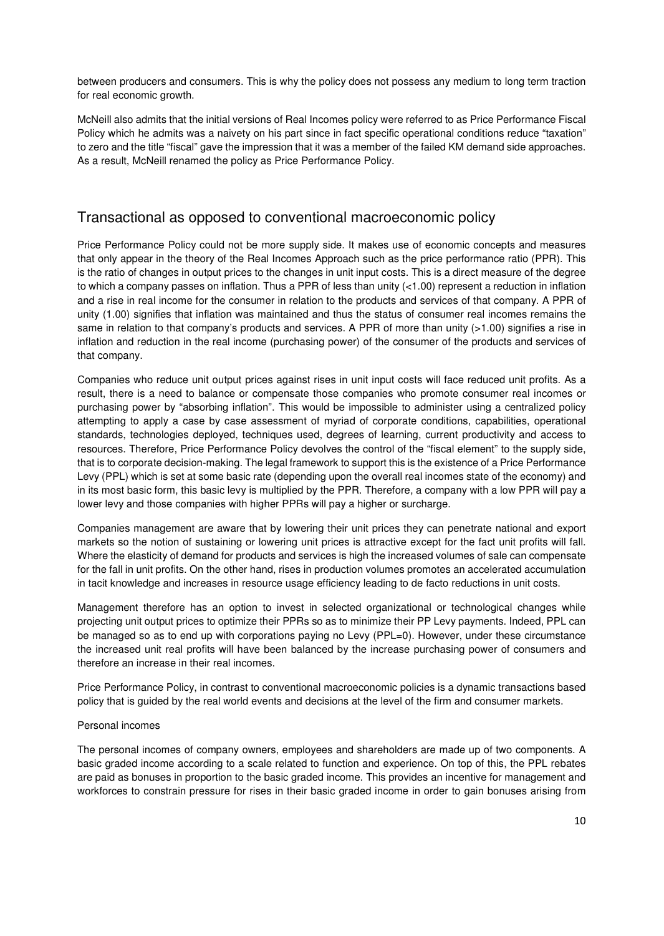between producers and consumers. This is why the policy does not possess any medium to long term traction for real economic growth.

McNeill also admits that the initial versions of Real Incomes policy were referred to as Price Performance Fiscal Policy which he admits was a naivety on his part since in fact specific operational conditions reduce "taxation" to zero and the title "fiscal" gave the impression that it was a member of the failed KM demand side approaches. As a result, McNeill renamed the policy as Price Performance Policy.

#### Transactional as opposed to conventional macroeconomic policy

Price Performance Policy could not be more supply side. It makes use of economic concepts and measures that only appear in the theory of the Real Incomes Approach such as the price performance ratio (PPR). This is the ratio of changes in output prices to the changes in unit input costs. This is a direct measure of the degree to which a company passes on inflation. Thus a PPR of less than unity  $($ <1.00) represent a reduction in inflation and a rise in real income for the consumer in relation to the products and services of that company. A PPR of unity (1.00) signifies that inflation was maintained and thus the status of consumer real incomes remains the same in relation to that company's products and services. A PPR of more than unity (>1.00) signifies a rise in inflation and reduction in the real income (purchasing power) of the consumer of the products and services of that company.

Companies who reduce unit output prices against rises in unit input costs will face reduced unit profits. As a result, there is a need to balance or compensate those companies who promote consumer real incomes or purchasing power by "absorbing inflation". This would be impossible to administer using a centralized policy attempting to apply a case by case assessment of myriad of corporate conditions, capabilities, operational standards, technologies deployed, techniques used, degrees of learning, current productivity and access to resources. Therefore, Price Performance Policy devolves the control of the "fiscal element" to the supply side, that is to corporate decision-making. The legal framework to support this is the existence of a Price Performance Levy (PPL) which is set at some basic rate (depending upon the overall real incomes state of the economy) and in its most basic form, this basic levy is multiplied by the PPR. Therefore, a company with a low PPR will pay a lower levy and those companies with higher PPRs will pay a higher or surcharge.

Companies management are aware that by lowering their unit prices they can penetrate national and export markets so the notion of sustaining or lowering unit prices is attractive except for the fact unit profits will fall. Where the elasticity of demand for products and services is high the increased volumes of sale can compensate for the fall in unit profits. On the other hand, rises in production volumes promotes an accelerated accumulation in tacit knowledge and increases in resource usage efficiency leading to de facto reductions in unit costs.

Management therefore has an option to invest in selected organizational or technological changes while projecting unit output prices to optimize their PPRs so as to minimize their PP Levy payments. Indeed, PPL can be managed so as to end up with corporations paying no Levy (PPL=0). However, under these circumstance the increased unit real profits will have been balanced by the increase purchasing power of consumers and therefore an increase in their real incomes.

Price Performance Policy, in contrast to conventional macroeconomic policies is a dynamic transactions based policy that is guided by the real world events and decisions at the level of the firm and consumer markets.

#### Personal incomes

The personal incomes of company owners, employees and shareholders are made up of two components. A basic graded income according to a scale related to function and experience. On top of this, the PPL rebates are paid as bonuses in proportion to the basic graded income. This provides an incentive for management and workforces to constrain pressure for rises in their basic graded income in order to gain bonuses arising from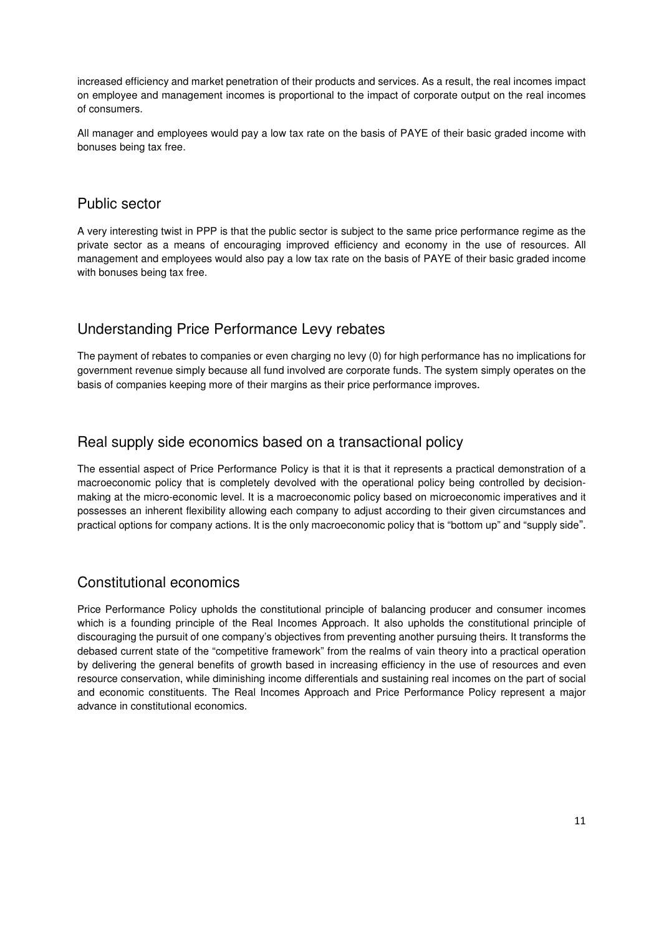increased efficiency and market penetration of their products and services. As a result, the real incomes impact on employee and management incomes is proportional to the impact of corporate output on the real incomes of consumers.

All manager and employees would pay a low tax rate on the basis of PAYE of their basic graded income with bonuses being tax free.

#### Public sector

A very interesting twist in PPP is that the public sector is subject to the same price performance regime as the private sector as a means of encouraging improved efficiency and economy in the use of resources. All management and employees would also pay a low tax rate on the basis of PAYE of their basic graded income with bonuses being tax free.

# Understanding Price Performance Levy rebates

The payment of rebates to companies or even charging no levy (0) for high performance has no implications for government revenue simply because all fund involved are corporate funds. The system simply operates on the basis of companies keeping more of their margins as their price performance improves.

#### Real supply side economics based on a transactional policy

The essential aspect of Price Performance Policy is that it is that it represents a practical demonstration of a macroeconomic policy that is completely devolved with the operational policy being controlled by decisionmaking at the micro-economic level. It is a macroeconomic policy based on microeconomic imperatives and it possesses an inherent flexibility allowing each company to adjust according to their given circumstances and practical options for company actions. It is the only macroeconomic policy that is "bottom up" and "supply side".

# Constitutional economics

Price Performance Policy upholds the constitutional principle of balancing producer and consumer incomes which is a founding principle of the Real Incomes Approach. It also upholds the constitutional principle of discouraging the pursuit of one company's objectives from preventing another pursuing theirs. It transforms the debased current state of the "competitive framework" from the realms of vain theory into a practical operation by delivering the general benefits of growth based in increasing efficiency in the use of resources and even resource conservation, while diminishing income differentials and sustaining real incomes on the part of social and economic constituents. The Real Incomes Approach and Price Performance Policy represent a major advance in constitutional economics.